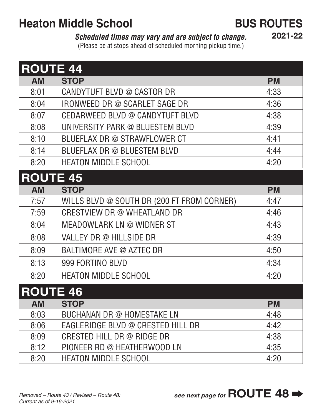# **Heaton Middle School <b>BUS ROUTES**

### *Scheduled times may vary and are subject to change.*

**2021-22**

(Please be at stops ahead of scheduled morning pickup time.)

| <b>ROUTE 44</b> |                                            |           |  |
|-----------------|--------------------------------------------|-----------|--|
| <b>AM</b>       | <b>STOP</b>                                | <b>PM</b> |  |
| 8:01            | CANDYTUFT BLVD @ CASTOR DR                 | 4:33      |  |
| 8:04            | IRONWEED DR @ SCARLET SAGE DR              | 4:36      |  |
| 8:07            | CEDARWEED BLVD @ CANDYTUFT BLVD            | 4:38      |  |
| 8:08            | UNIVERSITY PARK @ BLUESTEM BLVD            | 4:39      |  |
| 8:10            | BLUEFLAX DR @ STRAWFLOWER CT               | 4:41      |  |
| 8:14            | BLUEFLAX DR @ BLUESTEM BLVD                | 4:44      |  |
| 8:20            | <b>HEATON MIDDLE SCHOOL</b>                | 4:20      |  |
| <b>ROUTE 45</b> |                                            |           |  |
| <b>AM</b>       | <b>STOP</b>                                | <b>PM</b> |  |
| 7:57            | WILLS BLVD @ SOUTH DR (200 FT FROM CORNER) | 4:47      |  |
| 7:59            | CRESTVIEW DR @ WHEATLAND DR                | 4:46      |  |
| 8:04            | MEADOWLARK LN @ WIDNER ST                  | 4:43      |  |
| 8:08            | VALLEY DR @ HILLSIDE DR                    | 4:39      |  |
| 8:09            | BALTIMORE AVE @ AZTEC DR                   | 4:50      |  |
| 8:13            | 999 FORTINO BLVD                           | 4:34      |  |
| 8:20            | <b>HEATON MIDDLE SCHOOL</b>                | 4:20      |  |
| <b>ROUTE 46</b> |                                            |           |  |
| <b>AM</b>       | <b>STOP</b>                                | <b>PM</b> |  |
| 8:03            | BUCHANAN DR @ HOMESTAKE LN                 | 4:48      |  |
| 8:06            | EAGLERIDGE BLVD @ CRESTED HILL DR          | 4:42      |  |
| 8:09            | CRESTED HILL DR $@$ RIDGE DR               | 4:38      |  |
| 8:12            | PIONEER RD @ HEATHERWOOD LN                | 4:35      |  |
| 8:20            | <b>HEATON MIDDLE SCHOOL</b>                | 4:20      |  |